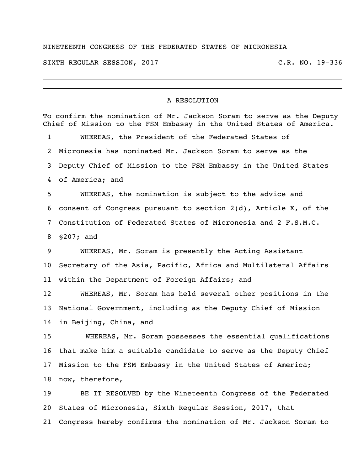## NINETEENTH CONGRESS OF THE FEDERATED STATES OF MICRONESIA

SIXTH REGULAR SESSION, 2017 C.R. NO. 19-336

 $\overline{\phantom{a}}$ 

## A RESOLUTION

| To confirm the nomination of Mr. Jackson Soram to serve as the Deputy<br>Chief of Mission to the FSM Embassy in the United States of America. |                                                                 |
|-----------------------------------------------------------------------------------------------------------------------------------------------|-----------------------------------------------------------------|
| $\mathbf 1$                                                                                                                                   | WHEREAS, the President of the Federated States of               |
| 2                                                                                                                                             | Micronesia has nominated Mr. Jackson Soram to serve as the      |
| 3                                                                                                                                             | Deputy Chief of Mission to the FSM Embassy in the United States |
| 4                                                                                                                                             | of America; and                                                 |
| 5                                                                                                                                             | WHEREAS, the nomination is subject to the advice and            |
| 6                                                                                                                                             | consent of Congress pursuant to section 2(d), Article X, of the |
| 7                                                                                                                                             | Constitution of Federated States of Micronesia and 2 F.S.M.C.   |
| 8                                                                                                                                             | $$207;$ and                                                     |
| 9                                                                                                                                             | WHEREAS, Mr. Soram is presently the Acting Assistant            |
| 10                                                                                                                                            | Secretary of the Asia, Pacific, Africa and Multilateral Affairs |
| 11                                                                                                                                            | within the Department of Foreign Affairs; and                   |
| 12                                                                                                                                            | WHEREAS, Mr. Soram has held several other positions in the      |
| 13                                                                                                                                            | National Government, including as the Deputy Chief of Mission   |
| 14                                                                                                                                            | in Beijing, China, and                                          |
| 15                                                                                                                                            | WHEREAS, Mr. Soram possesses the essential qualifications       |
| 16                                                                                                                                            | that make him a suitable candidate to serve as the Deputy Chief |
| 17                                                                                                                                            | Mission to the FSM Embassy in the United States of America;     |
|                                                                                                                                               | 18 now, therefore,                                              |
| 19                                                                                                                                            | BE IT RESOLVED by the Nineteenth Congress of the Federated      |
| 20                                                                                                                                            | States of Micronesia, Sixth Regular Session, 2017, that         |
| 21                                                                                                                                            | Congress hereby confirms the nomination of Mr. Jackson Soram to |